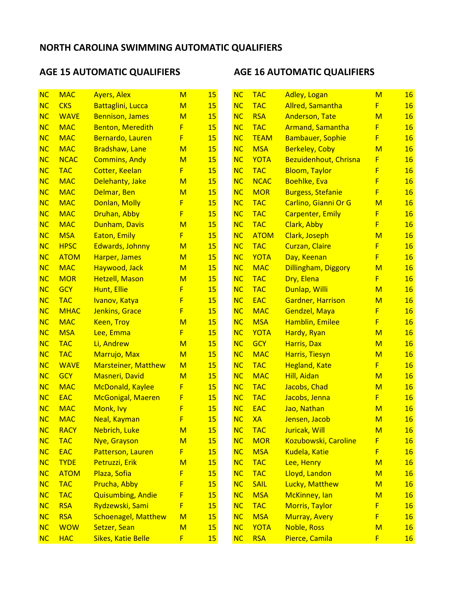# AGE 15 AUTOMATIC QUALIFIERS AGE 16 AUTOMATIC QUALIFIERS

| <b>NC</b> | <b>MAC</b>  | <b>Ayers, Alex</b>         | $\mathsf{M}$ | 15        | NC        | <b>TAC</b>  | <b>Adley, Logan</b>      | M | <b>16</b> |
|-----------|-------------|----------------------------|--------------|-----------|-----------|-------------|--------------------------|---|-----------|
| <b>NC</b> | <b>CKS</b>  | <b>Battaglini, Lucca</b>   | M            | 15        | <b>NC</b> | <b>TAC</b>  | <b>Allred, Samantha</b>  | F | 16        |
| NC        | <b>WAVE</b> | <b>Bennison, James</b>     | M            | 15        | <b>NC</b> | <b>RSA</b>  | <b>Anderson, Tate</b>    | M | 16        |
| <b>NC</b> | <b>MAC</b>  | <b>Benton, Meredith</b>    | F.           | 15        | <b>NC</b> | <b>TAC</b>  | <b>Armand, Samantha</b>  | F | 16        |
| NC        | <b>MAC</b>  | Bernardo, Lauren           | F            | 15        | <b>NC</b> | <b>TEAM</b> | <b>Bambauer, Sophie</b>  | F | 16        |
| NC        | <b>MAC</b>  | Bradshaw, Lane             | M            | 15        | <b>NC</b> | <b>MSA</b>  | <b>Berkeley, Coby</b>    | M | 16        |
| NC        | <b>NCAC</b> | <b>Commins, Andy</b>       | M            | 15        | <b>NC</b> | <b>YOTA</b> | Bezuidenhout, Chrisna    | F | 16        |
| NC        | <b>TAC</b>  | <b>Cotter, Keelan</b>      | F            | <b>15</b> | <b>NC</b> | <b>TAC</b>  | <b>Bloom, Taylor</b>     | F | <b>16</b> |
| <b>NC</b> | <b>MAC</b>  | Delehanty, Jake            | M            | 15        | <b>NC</b> | <b>NCAC</b> | <b>Boehlke, Eva</b>      | F | 16        |
| NC        | <b>MAC</b>  | Delmar, Ben                | M            | 15        | <b>NC</b> | <b>MOR</b>  | <b>Burgess, Stefanie</b> | F | 16        |
| NC        | <b>MAC</b>  | Donlan, Molly              | F            | 15        | <b>NC</b> | <b>TAC</b>  | Carlino, Gianni Or G     | M | <b>16</b> |
| NC        | <b>MAC</b>  | Druhan, Abby               | F            | 15        | <b>NC</b> | <b>TAC</b>  | <b>Carpenter, Emily</b>  | F | 16        |
| NC        | <b>MAC</b>  | Dunham, Davis              | M            | <b>15</b> | NC        | <b>TAC</b>  | Clark, Abby              | F | <b>16</b> |
| NC        | <b>MSA</b>  | Eaton, Emily               | F.           | 15        | <b>NC</b> | <b>ATOM</b> | Clark, Joseph            | M | 16        |
| NC        | <b>HPSC</b> | Edwards, Johnny            | M            | <b>15</b> | NC        | <b>TAC</b>  | <b>Curzan, Claire</b>    | F | 16        |
| <b>NC</b> | <b>ATOM</b> | Harper, James              | M            | 15        | <b>NC</b> | <b>YOTA</b> | Day, Keenan              | F | 16        |
| NC        | <b>MAC</b>  | Haywood, Jack              | M            | 15        | <b>NC</b> | <b>MAC</b>  | Dillingham, Diggory      | M | 16        |
| NC        | <b>MOR</b>  | <b>Hetzell, Mason</b>      | M            | 15        | NC        | <b>TAC</b>  | Dry, Elena               | F | 16        |
| NC        | <b>GCY</b>  | Hunt, Ellie                | F            | 15        | <b>NC</b> | <b>TAC</b>  | Dunlap, Willi            | M | 16        |
| NC        | <b>TAC</b>  | Ivanov, Katya              | F            | <b>15</b> | <b>NC</b> | <b>EAC</b>  | <b>Gardner, Harrison</b> | M | <b>16</b> |
| NC        | <b>MHAC</b> | Jenkins, Grace             | F            | 15        | <b>NC</b> | <b>MAC</b>  | Gendzel, Maya            | F | 16        |
| <b>NC</b> | <b>MAC</b>  | <b>Keen, Troy</b>          | M            | 15        | <b>NC</b> | <b>MSA</b>  | Hamblin, Emilee          | F | 16        |
| <b>NC</b> | <b>MSA</b>  | Lee, Emma                  | F.           | 15        | <b>NC</b> | <b>YOTA</b> | Hardy, Ryan              | M | 16        |
| NC        | <b>TAC</b>  | Li, Andrew                 | M            | 15        | <b>NC</b> | <b>GCY</b>  | Harris, Dax              | M | <b>16</b> |
| NC        | <b>TAC</b>  | Marrujo, Max               | M            | 15        | NC        | <b>MAC</b>  | Harris, Tiesyn           | M | 16        |
| <b>NC</b> | <b>WAVE</b> | <b>Marsteiner, Matthew</b> | M            | 15        | <b>NC</b> | <b>TAC</b>  | <b>Hegland, Kate</b>     | F | <b>16</b> |
| <b>NC</b> | <b>GCY</b>  | <b>Masneri, David</b>      | M            | <b>15</b> | <b>NC</b> | <b>MAC</b>  | Hill, Aidan              | M | <b>16</b> |
| NC        | <b>MAC</b>  | <b>McDonald, Kaylee</b>    | F.           | 15        | <b>NC</b> | <b>TAC</b>  | Jacobs, Chad             | M | 16        |
| NC        | <b>EAC</b>  | <b>McGonigal, Maeren</b>   | F            | 15        | <b>NC</b> | <b>TAC</b>  | Jacobs, Jenna            | F | 16        |
| <b>NC</b> | <b>MAC</b>  | Monk, Ivy                  | F            | 15        | <b>NC</b> | <b>EAC</b>  | Jao, Nathan              | M | <b>16</b> |
| <b>NC</b> | <b>MAC</b>  | Neal, Kayman               | F            | 15        | <b>NC</b> | <b>XA</b>   | Jensen, Jacob            | M | <b>16</b> |
| NC        | <b>RACY</b> | <b>Nebrich, Luke</b>       | M            | <b>15</b> | NC        | <b>TAC</b>  | Juricak, Will            | M | <b>16</b> |
| NC        | <b>TAC</b>  | Nye, Grayson               | M            | <b>15</b> | NC        | <b>MOR</b>  | Kozubowski, Caroline     | F | <b>16</b> |
| NC        | <b>EAC</b>  | Patterson, Lauren          | F            | <b>15</b> | NC        | <b>MSA</b>  | Kudela, Katie            | F | <b>16</b> |
| <b>NC</b> | <b>TYDE</b> | Petruzzi, Erik             | M            | <b>15</b> | NC        | <b>TAC</b>  | Lee, Henry               | M | <b>16</b> |
| NC        | <b>ATOM</b> | Plaza, Sofia               | F            | 15        | NC        | <b>TAC</b>  | Lloyd, Landon            | M | <b>16</b> |
| NC        | <b>TAC</b>  | Prucha, Abby               | F            | 15        | NC        | <b>SAIL</b> | Lucky, Matthew           | M | <b>16</b> |
| NC        | <b>TAC</b>  | <b>Quisumbing, Andie</b>   | F            | <b>15</b> | NC        | <b>MSA</b>  | McKinney, lan            | M | <b>16</b> |
| NC        | <b>RSA</b>  | Rydzewski, Sami            | F            | <b>15</b> | NC        | <b>TAC</b>  | <b>Morris, Taylor</b>    | F | <b>16</b> |
| <b>NC</b> | <b>RSA</b>  | <b>Schoenagel, Matthew</b> | $\mathsf{M}$ | <b>15</b> | NC        | <b>MSA</b>  | <b>Murray, Avery</b>     | F | <b>16</b> |
| NC        | <b>WOW</b>  | Setzer, Sean               | M            | 15        | NC        | <b>YOTA</b> | <b>Noble, Ross</b>       | M | <b>16</b> |
| NC        | <b>HAC</b>  | <b>Sikes, Katie Belle</b>  | F            | 15        | <b>NC</b> | <b>RSA</b>  | Pierce, Camila           | F | 16        |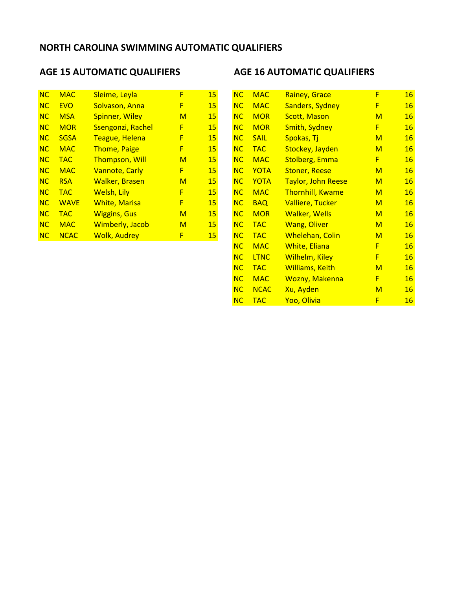| <b>NC</b> | <b>MAC</b>  | Sleime, Leyla          | F | 15 |
|-----------|-------------|------------------------|---|----|
| NC        | <b>EVO</b>  | Solvason, Anna         | F | 15 |
| <b>NC</b> | <b>MSA</b>  | <b>Spinner, Wiley</b>  | м | 15 |
| NC        | <b>MOR</b>  | Ssengonzi, Rachel      | F | 15 |
| <b>NC</b> | <b>SGSA</b> | <b>Teague, Helena</b>  | F | 15 |
| NC        | <b>MAC</b>  | <b>Thome, Paige</b>    | F | 15 |
| <b>NC</b> | <b>TAC</b>  | <b>Thompson, Will</b>  | м | 15 |
| NC        | <b>MAC</b>  | <b>Vannote, Carly</b>  | F | 15 |
| NC        | <b>RSA</b>  | <b>Walker, Brasen</b>  | м | 15 |
| <b>NC</b> | <b>TAC</b>  | Welsh, Lily            | F | 15 |
| NC        | <b>WAVE</b> | <b>White, Marisa</b>   | F | 15 |
| <b>NC</b> | <b>TAC</b>  | <b>Wiggins, Gus</b>    | м | 15 |
| <b>NC</b> | <b>MAC</b>  | <b>Wimberly, Jacob</b> | м | 15 |
| <b>NC</b> | <b>NCAC</b> | <b>Wolk, Audrey</b>    | F | 15 |

# AGE 15 AUTOMATIC QUALIFIERS AGE 16 AUTOMATIC QUALIFIERS

| NC | <b>MAC</b>  | Sleime, Leyla          | F            | 15        | NC        | <b>MAC</b>  | Rainey, Grace             | F            | <b>16</b> |
|----|-------------|------------------------|--------------|-----------|-----------|-------------|---------------------------|--------------|-----------|
| NC | <b>EVO</b>  | Solvason, Anna         | F            | 15        | NC        | <b>MAC</b>  | <b>Sanders, Sydney</b>    | F            | <b>16</b> |
| NC | <b>MSA</b>  | <b>Spinner, Wiley</b>  | $\mathsf{M}$ | <b>15</b> | NC        | <b>MOR</b>  | <b>Scott, Mason</b>       | $\mathsf{M}$ | <b>16</b> |
| NC | <b>MOR</b>  | Ssengonzi, Rachel      | F            | <b>15</b> | <b>NC</b> | <b>MOR</b>  | <b>Smith, Sydney</b>      | F            | <b>16</b> |
| NC | <b>SGSA</b> | Teague, Helena         | F            | <b>15</b> | <b>NC</b> | <b>SAIL</b> | Spokas, Tj                | $\mathsf{M}$ | <b>16</b> |
| NC | <b>MAC</b>  | <b>Thome, Paige</b>    | F            | <b>15</b> | NC        | <b>TAC</b>  | Stockey, Jayden           | M            | <b>16</b> |
| NC | <b>TAC</b>  | <b>Thompson, Will</b>  | M            | <b>15</b> | NC        | <b>MAC</b>  | <b>Stolberg, Emma</b>     | F            | <b>16</b> |
| NC | <b>MAC</b>  | <b>Vannote, Carly</b>  | F            | 15        | NC        | <b>YOTA</b> | <b>Stoner, Reese</b>      | $\mathsf{M}$ | <b>16</b> |
| NC | <b>RSA</b>  | <b>Walker, Brasen</b>  | M            | <b>15</b> | NC        | <b>YOTA</b> | <b>Taylor, John Reese</b> | $\mathsf{M}$ | <b>16</b> |
| NC | <b>TAC</b>  | Welsh, Lily            | F            | 15        | NC        | <b>MAC</b>  | <b>Thornhill, Kwame</b>   | M            | <b>16</b> |
| NC | <b>WAVE</b> | <b>White, Marisa</b>   | F            | <b>15</b> | <b>NC</b> | <b>BAQ</b>  | <b>Valliere, Tucker</b>   | M            | <b>16</b> |
| NC | <b>TAC</b>  | <b>Wiggins, Gus</b>    | M            | <b>15</b> | NC        | <b>MOR</b>  | <b>Walker, Wells</b>      | M            | <b>16</b> |
| NC | <b>MAC</b>  | <b>Wimberly, Jacob</b> | $\mathsf{M}$ | <b>15</b> | NC        | <b>TAC</b>  | <b>Wang, Oliver</b>       | M            | <b>16</b> |
| NC | <b>NCAC</b> | <b>Wolk, Audrey</b>    | F            | 15        | NC        | <b>TAC</b>  | <b>Whelehan, Colin</b>    | M            | <b>16</b> |
|    |             |                        |              |           | NC        | <b>MAC</b>  | <b>White, Eliana</b>      | F            | <b>16</b> |
|    |             |                        |              |           | NC        | <b>LTNC</b> | <b>Wilhelm, Kiley</b>     | F            | <b>16</b> |
|    |             |                        |              |           | NC        | <b>TAC</b>  | <b>Williams, Keith</b>    | M            | <b>16</b> |
|    |             |                        |              |           | NC        | <b>MAC</b>  | <b>Wozny, Makenna</b>     | F            | <b>16</b> |
|    |             |                        |              |           | NC        | <b>NCAC</b> | Xu, Ayden                 | M            | <b>16</b> |
|    |             |                        |              |           | NC        | <b>TAC</b>  | Yoo, Olivia               | F            | 16        |
|    |             |                        |              |           |           |             |                           |              |           |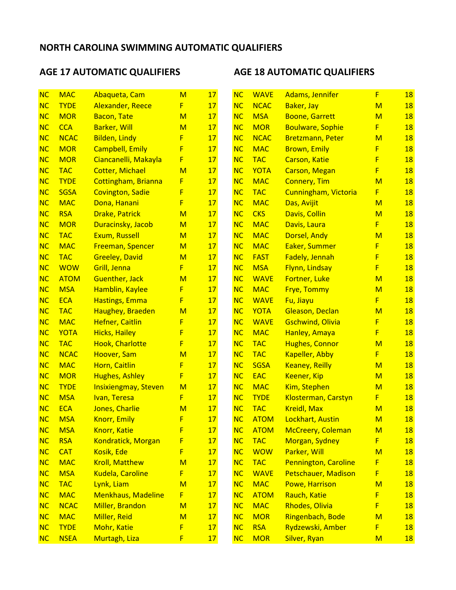# AGE 17 AUTOMATIC QUALIFIERS AGE 18 AUTOMATIC QUALIFIERS

| <b>NC</b> | <b>MAC</b>  | Abaqueta, Cam               | $\mathsf{M}$ | 17 | NC        | <b>WAVE</b> | <b>Adams, Jennifer</b>      | F | <b>18</b> |
|-----------|-------------|-----------------------------|--------------|----|-----------|-------------|-----------------------------|---|-----------|
| NC        | <b>TYDE</b> | <b>Alexander, Reece</b>     | F.           | 17 | <b>NC</b> | <b>NCAC</b> | Baker, Jay                  | M | <b>18</b> |
| <b>NC</b> | <b>MOR</b>  | <b>Bacon, Tate</b>          | M            | 17 | <b>NC</b> | <b>MSA</b>  | <b>Boone, Garrett</b>       | M | <b>18</b> |
| <b>NC</b> | <b>CCA</b>  | <b>Barker, Will</b>         | M            | 17 | <b>NC</b> | <b>MOR</b>  | <b>Boulware, Sophie</b>     | F | <b>18</b> |
| NC        | <b>NCAC</b> | <b>Bilden, Lindy</b>        | F            | 17 | <b>NC</b> | <b>NCAC</b> | <b>Bretzmann, Peter</b>     | M | 18        |
| NC        | <b>MOR</b>  | <b>Campbell, Emily</b>      | F            | 17 | NC        | <b>MAC</b>  | <b>Brown, Emily</b>         | F | <b>18</b> |
| <b>NC</b> | <b>MOR</b>  | Ciancanelli, Makayla        | F            | 17 | <b>NC</b> | <b>TAC</b>  | <b>Carson, Katie</b>        | F | 18        |
| <b>NC</b> | <b>TAC</b>  | <b>Cotter, Michael</b>      | M            | 17 | NC        | YOTA        | <b>Carson, Megan</b>        | F | <b>18</b> |
| <b>NC</b> | <b>TYDE</b> | Cottingham, Brianna         | F            | 17 | <b>NC</b> | <b>MAC</b>  | <b>Connery, Tim</b>         | M | <b>18</b> |
| NC        | <b>SGSA</b> | <b>Covington, Sadie</b>     | F            | 17 | <b>NC</b> | <b>TAC</b>  | <b>Cunningham, Victoria</b> | F | <b>18</b> |
| <b>NC</b> | <b>MAC</b>  | Dona, Hanani                | F            | 17 | <b>NC</b> | <b>MAC</b>  | Das, Avijit                 | M | <b>18</b> |
| NC        | <b>RSA</b>  | <b>Drake, Patrick</b>       | M            | 17 | <b>NC</b> | <b>CKS</b>  | Davis, Collin               | M | 18        |
| <b>NC</b> | <b>MOR</b>  | Duracinsky, Jacob           | M            | 17 | NC        | <b>MAC</b>  | Davis, Laura                | F | <b>18</b> |
| NC        | <b>TAC</b>  | Exum, Russell               | M            | 17 | <b>NC</b> | <b>MAC</b>  | Dorsel, Andy                | M | <b>18</b> |
| NC        | <b>MAC</b>  | <b>Freeman, Spencer</b>     | M            | 17 | NC        | <b>MAC</b>  | Eaker, Summer               | F | <b>18</b> |
| <b>NC</b> | <b>TAC</b>  | <b>Greeley, David</b>       | M            | 17 | <b>NC</b> | <b>FAST</b> | Fadely, Jennah              | F | <b>18</b> |
| NC        | <b>WOW</b>  | Grill, Jenna                | F            | 17 | <b>NC</b> | <b>MSA</b>  | Flynn, Lindsay              | F | <b>18</b> |
| <b>NC</b> | <b>ATOM</b> | <b>Guenther, Jack</b>       | M            | 17 | NC        | <b>WAVE</b> | Fortner, Luke               | M | <b>18</b> |
| NC        | <b>MSA</b>  | Hamblin, Kaylee             | F            | 17 | <b>NC</b> | <b>MAC</b>  | <b>Frye, Tommy</b>          | M | <b>18</b> |
| NC        | <b>ECA</b>  | <b>Hastings, Emma</b>       | F            | 17 | NC        | <b>WAVE</b> | Fu, Jiayu                   | F | <b>18</b> |
| NC        | <b>TAC</b>  | Haughey, Braeden            | M            | 17 | NC        | <b>YOTA</b> | Gleason, Declan             | M | <b>18</b> |
| <b>NC</b> | <b>MAC</b>  | <b>Hefner, Caitlin</b>      | F            | 17 | <b>NC</b> | <b>WAVE</b> | <b>Gschwind, Olivia</b>     | F | <b>18</b> |
| <b>NC</b> | <b>YOTA</b> | <b>Hicks, Hailey</b>        | F.           | 17 | <b>NC</b> | <b>MAC</b>  | Hanley, Amaya               | F | <b>18</b> |
| NC        | <b>TAC</b>  | <b>Hook, Charlotte</b>      | F            | 17 | <b>NC</b> | <b>TAC</b>  | <b>Hughes, Connor</b>       | M | 18        |
| <b>NC</b> | <b>NCAC</b> | Hoover, Sam                 | M            | 17 | <b>NC</b> | <b>TAC</b>  | Kapeller, Abby              | F | <b>18</b> |
| <b>NC</b> | <b>MAC</b>  | Horn, Caitlin               | F            | 17 | <b>NC</b> | <b>SGSA</b> | <b>Keaney, Reilly</b>       | M | <b>18</b> |
| <b>NC</b> | <b>MOR</b>  | <b>Hughes, Ashley</b>       | F            | 17 | NC        | <b>EAC</b>  | <b>Keener, Kip</b>          | M | <b>18</b> |
| <b>NC</b> | <b>TYDE</b> | <b>Insixiengmay, Steven</b> | M            | 17 | <b>NC</b> | <b>MAC</b>  | Kim, Stephen                | M | <b>18</b> |
| <b>NC</b> | <b>MSA</b>  | Ivan, Teresa                | F            | 17 | <b>NC</b> | <b>TYDE</b> | Klosterman, Carstyn         | F | <b>18</b> |
| <b>NC</b> | <b>ECA</b>  | Jones, Charlie              | M            | 17 | <b>NC</b> | <b>TAC</b>  | <b>Kreidl, Max</b>          | M | <b>18</b> |
| <b>NC</b> | <b>MSA</b>  | <b>Knorr, Emily</b>         | F            | 17 | <b>NC</b> | <b>ATOM</b> | Lockhart, Austin            | M | <b>18</b> |
| NC        | <b>MSA</b>  | <b>Knorr, Katie</b>         | F            | 17 | NC        | <b>ATOM</b> | <b>McCreery, Coleman</b>    | M | <b>18</b> |
| NC        | <b>RSA</b>  | Kondratick, Morgan          | F            | 17 | NC        | <b>TAC</b>  | Morgan, Sydney              | F | <b>18</b> |
| NC        | <b>CAT</b>  | Kosik, Ede                  | F            | 17 | NC        | <b>WOW</b>  | Parker, Will                | M | <b>18</b> |
| <b>NC</b> | <b>MAC</b>  | <b>Kroll, Matthew</b>       | M            | 17 | NC        | <b>TAC</b>  | <b>Pennington, Caroline</b> | F | <b>18</b> |
| NC        | <b>MSA</b>  | <b>Kudela, Caroline</b>     | F            | 17 | <b>NC</b> | <b>WAVE</b> | <b>Petschauer, Madison</b>  | F | <b>18</b> |
| NC        | <b>TAC</b>  | Lynk, Liam                  | M            | 17 | NC        | <b>MAC</b>  | Powe, Harrison              | M | <b>18</b> |
| NC        | <b>MAC</b>  | <b>Menkhaus, Madeline</b>   | F.           | 17 | NC        | <b>ATOM</b> | Rauch, Katie                | F | <b>18</b> |
| NC        | <b>NCAC</b> | Miller, Brandon             | $\mathsf{M}$ | 17 | NC        | <b>MAC</b>  | Rhodes, Olivia              | F | <b>18</b> |
| <b>NC</b> | <b>MAC</b>  | Miller, Reid                | M            | 17 | NC        | <b>MOR</b>  | Ringenbach, Bode            | M | <b>18</b> |
| NC        | <b>TYDE</b> | Mohr, Katie                 | F            | 17 | NC        | <b>RSA</b>  | Rydzewski, Amber            | F | <b>18</b> |
| NC        | <b>NSEA</b> | Murtagh, Liza               | F            | 17 | NC        | <b>MOR</b>  | Silver, Ryan                | M | 18        |